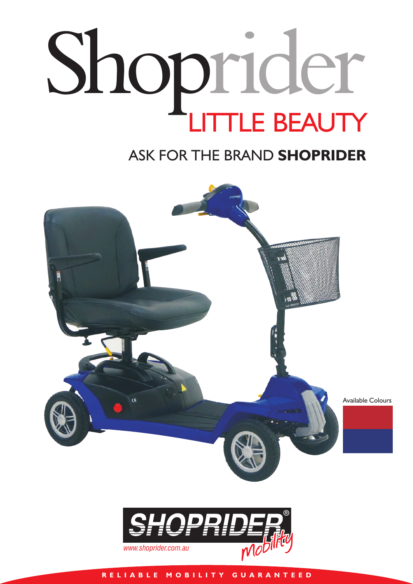## Shoprider LITTLE BEAUTY

## ASK FOR THE BRAND **SHOPRIDER**